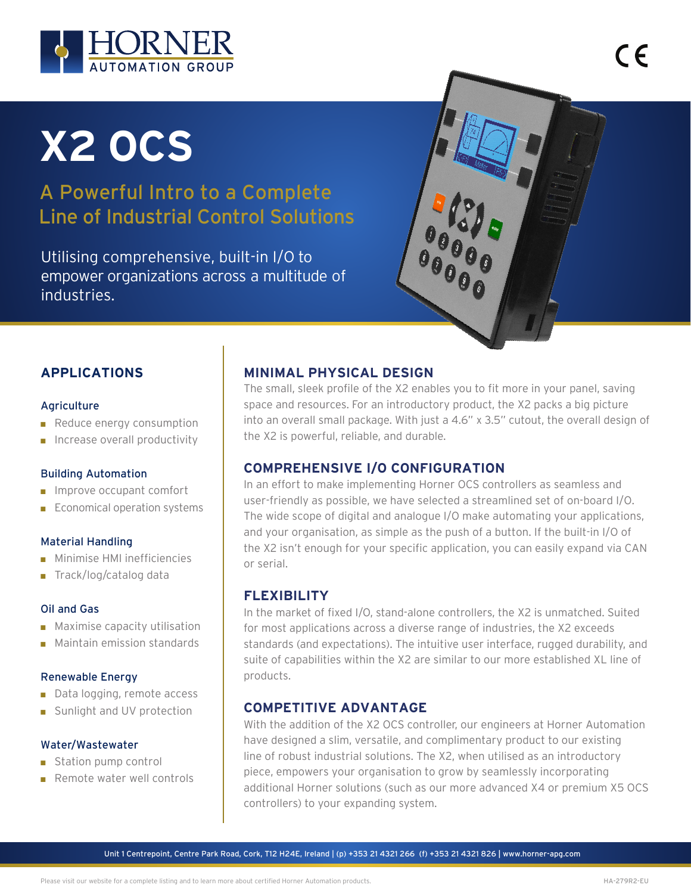

# **X2 OCS**

A Powerful Intro to a Complete Line of Industrial Control Solutions

Utilising comprehensive, built-in I/O to empower organizations across a multitude of industries.



 $\epsilon$ 

# **APPLICATIONS**

#### Agriculture

- Reduce energy consumption
- $\blacksquare$  Increase overall productivity

#### Building Automation

- **n** Improve occupant comfort
- $\blacksquare$  Economical operation systems

#### Material Handling

- **n** Minimise HMI inefficiencies
- Track/log/catalog data

#### Oil and Gas

- $\blacksquare$  Maximise capacity utilisation
- $\blacksquare$  Maintain emission standards

#### Renewable Energy

- $\Box$  Data logging, remote access
- Sunlight and UV protection

#### Water/Wastewater

- $\blacksquare$  Station pump control
- $R$ emote water well controls

# **MINIMAL PHYSICAL DESIGN**

The small, sleek profile of the X2 enables you to fit more in your panel, saving space and resources. For an introductory product, the X2 packs a big picture into an overall small package. With just a 4.6" x 3.5" cutout, the overall design of the X2 is powerful, reliable, and durable.

## **COMPREHENSIVE I/O CONFIGURATION**

In an effort to make implementing Horner OCS controllers as seamless and user-friendly as possible, we have selected a streamlined set of on-board I/O. The wide scope of digital and analogue I/O make automating your applications, and your organisation, as simple as the push of a button. If the built-in I/O of the X2 isn't enough for your specific application, you can easily expand via CAN or serial.

## **FLEXIBILITY**

In the market of fixed I/O, stand-alone controllers, the X2 is unmatched. Suited for most applications across a diverse range of industries, the X2 exceeds standards (and expectations). The intuitive user interface, rugged durability, and suite of capabilities within the X2 are similar to our more established XL line of products.

## **COMPETITIVE ADVANTAGE**

With the addition of the X2 OCS controller, our engineers at Horner Automation have designed a slim, versatile, and complimentary product to our existing line of robust industrial solutions. The X2, when utilised as an introductory piece, empowers your organisation to grow by seamlessly incorporating additional Horner solutions (such as our more advanced X4 or premium X5 OCS controllers) to your expanding system.